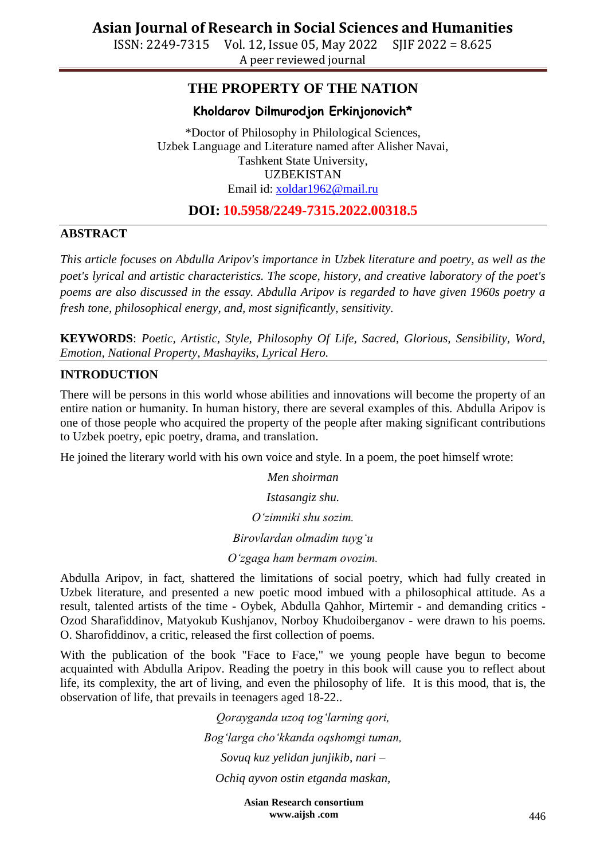ISSN: 2249-7315 Vol. 12, Issue 05, May 2022 SJIF 2022 = 8.625 A peer reviewed journal

## **THE PROPERTY OF THE NATION**

### **Kholdarov Dilmurodjon Erkinjonovich\***

\*Doctor of Philosophy in Philological Sciences, Uzbek Language and Literature named after Alisher Navai, Tashkent State University, UZBEKISTAN Email id: [xoldar1962@mail.ru](mailto:xoldar1962@mail.ru)

## **DOI: 10.5958/2249-7315.2022.00318.5**

### **ABSTRACT**

*This article focuses on Abdulla Aripov's importance in Uzbek literature and poetry, as well as the poet's lyrical and artistic characteristics. The scope, history, and creative laboratory of the poet's poems are also discussed in the essay. Abdulla Aripov is regarded to have given 1960s poetry a fresh tone, philosophical energy, and, most significantly, sensitivity.*

**KEYWORDS**: *Poetic, Artistic, Style, Philosophy Of Life, Sacred, Glorious, Sensibility, Word, Emotion, National Property, Mashayiks, Lyrical Hero.*

### **INTRODUCTION**

There will be persons in this world whose abilities and innovations will become the property of an entire nation or humanity. In human history, there are several examples of this. Abdulla Aripov is one of those people who acquired the property of the people after making significant contributions to Uzbek poetry, epic poetry, drama, and translation.

He joined the literary world with his own voice and style. In a poem, the poet himself wrote:

*Men shoirman Istasangiz shu. O'zimniki shu sozim. Birovlardan olmadim tuyg'u O'zgaga ham bermam ovozim.*

Abdulla Aripov, in fact, shattered the limitations of social poetry, which had fully created in Uzbek literature, and presented a new poetic mood imbued with a philosophical attitude. As a result, talented artists of the time - Oybek, Abdulla Qahhor, Mirtemir - and demanding critics - Ozod Sharafiddinov, Matyokub Kushjanov, Norboy Khudoiberganov - were drawn to his poems. O. Sharofiddinov, a critic, released the first collection of poems.

With the publication of the book "Face to Face," we young people have begun to become acquainted with Abdulla Aripov. Reading the poetry in this book will cause you to reflect about life, its complexity, the art of living, and even the philosophy of life. It is this mood, that is, the observation of life, that prevails in teenagers aged 18-22..

> *Qorayganda uzoq tog'larning qori, Bog'larga cho'kkanda oqshomgi tuman, Sovuq kuz yelidan junjikib, nari – Ochiq ayvon ostin etganda maskan,*

> > **Asian Research consortium www.aijsh .com**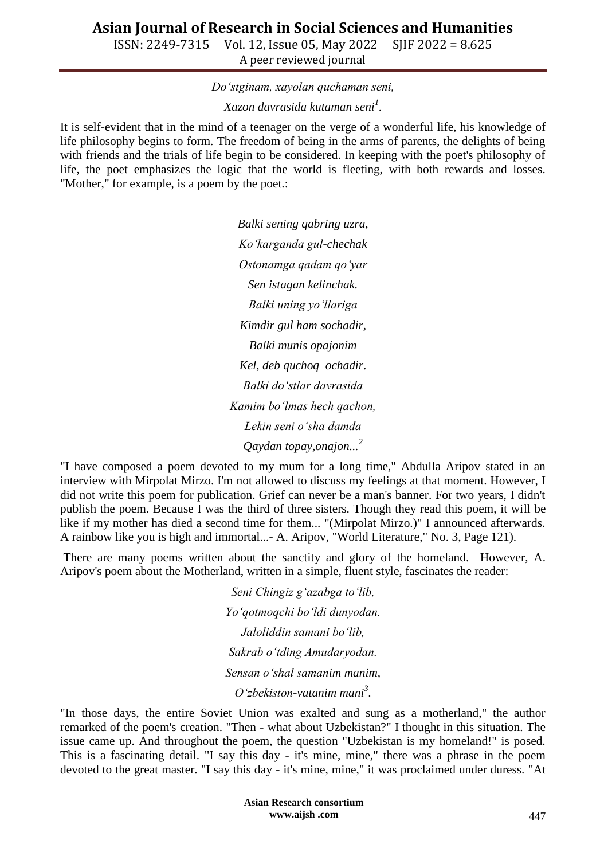ISSN: 2249-7315 Vol. 12, Issue 05, May 2022 SJIF 2022 = 8.625 A peer reviewed journal

*Do'stginam, xayolan quchaman seni,*

*Xazon davrasida kutaman seni<sup>1</sup> .*

It is self-evident that in the mind of a teenager on the verge of a wonderful life, his knowledge of life philosophy begins to form. The freedom of being in the arms of parents, the delights of being with friends and the trials of life begin to be considered. In keeping with the poet's philosophy of life, the poet emphasizes the logic that the world is fleeting, with both rewards and losses. "Mother," for example, is a poem by the poet.:

> *Balki sening qabring uzra, Ko'karganda gul-chechak Ostonamga qadam qo'yar Sen istagan kelinchak. Balki uning yo'llariga Kimdir gul ham sochadir, Balki munis opajonim Kel, deb quchoq ochadir. Balki do'stlar davrasida Kamim bo'lmas hech qachon, Lekin seni o'sha damda Qaydan topay,onajon...<sup>2</sup>*

"I have composed a poem devoted to my mum for a long time," Abdulla Aripov stated in an interview with Mirpolat Mirzo. I'm not allowed to discuss my feelings at that moment. However, I did not write this poem for publication. Grief can never be a man's banner. For two years, I didn't publish the poem. Because I was the third of three sisters. Though they read this poem, it will be like if my mother has died a second time for them... "(Mirpolat Mirzo.)" I announced afterwards. A rainbow like you is high and immortal...- A. Aripov, "World Literature," No. 3, Page 121).

There are many poems written about the sanctity and glory of the homeland. However, A. Aripov's poem about the Motherland, written in a simple, fluent style, fascinates the reader:

> *Seni Chingiz g'azabga to'lib, Yo'qotmoqchi bo'ldi dunyodan. Jaloliddin samani bo'lib, Sakrab o'tding Amudaryodan. Sensan o'shal samanim manim, O'zbekiston-vatanim mani<sup>3</sup> .*

"In those days, the entire Soviet Union was exalted and sung as a motherland," the author remarked of the poem's creation. "Then - what about Uzbekistan?" I thought in this situation. The issue came up. And throughout the poem, the question "Uzbekistan is my homeland!" is posed. This is a fascinating detail. "I say this day - it's mine, mine," there was a phrase in the poem devoted to the great master. "I say this day - it's mine, mine," it was proclaimed under duress. "At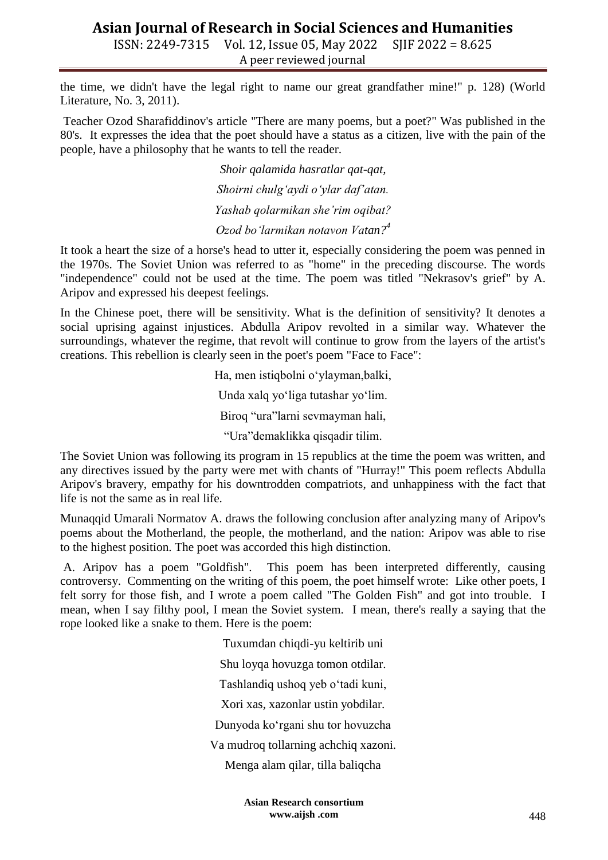ISSN: 2249-7315 Vol. 12, Issue 05, May 2022 SJIF 2022 = 8.625 A peer reviewed journal

the time, we didn't have the legal right to name our great grandfather mine!" p. 128) (World Literature, No. 3, 2011).

Teacher Ozod Sharafiddinov's article "There are many poems, but a poet?" Was published in the 80's. It expresses the idea that the poet should have a status as a citizen, live with the pain of the people, have a philosophy that he wants to tell the reader.

> *Shoir qalamida hasratlar qat-qat, Shoirni chulg'aydi o'ylar daf'atan. Yashab qolarmikan she'rim oqibat? Ozod bo'larmikan notavon Vatan?<sup>4</sup>*

It took a heart the size of a horse's head to utter it, especially considering the poem was penned in the 1970s. The Soviet Union was referred to as "home" in the preceding discourse. The words "independence" could not be used at the time. The poem was titled "Nekrasov's grief" by A. Aripov and expressed his deepest feelings.

In the Chinese poet, there will be sensitivity. What is the definition of sensitivity? It denotes a social uprising against injustices. Abdulla Aripov revolted in a similar way. Whatever the surroundings, whatever the regime, that revolt will continue to grow from the layers of the artist's creations. This rebellion is clearly seen in the poet's poem "Face to Face":

> Ha, men istiqbolni o"ylayman,balki, Unda xalq yo"liga tutashar yo"lim. Biroq "ura"larni sevmayman hali, "Ura"demaklikka qisqadir tilim.

The Soviet Union was following its program in 15 republics at the time the poem was written, and any directives issued by the party were met with chants of "Hurray!" This poem reflects Abdulla Aripov's bravery, empathy for his downtrodden compatriots, and unhappiness with the fact that life is not the same as in real life.

Munaqqid Umarali Normatov A. draws the following conclusion after analyzing many of Aripov's poems about the Motherland, the people, the motherland, and the nation: Aripov was able to rise to the highest position. The poet was accorded this high distinction.

A. Aripov has a poem "Goldfish". This poem has been interpreted differently, causing controversy. Commenting on the writing of this poem, the poet himself wrote: Like other poets, I felt sorry for those fish, and I wrote a poem called "The Golden Fish" and got into trouble. I mean, when I say filthy pool, I mean the Soviet system. I mean, there's really a saying that the rope looked like a snake to them. Here is the poem:

> Tuxumdan chiqdi-yu keltirib uni Shu loyqa hovuzga tomon otdilar. Tashlandiq ushoq yeb o"tadi kuni, Xori xas, xazonlar ustin yobdilar. Dunyoda ko"rgani shu tor hovuzcha Va mudroq tollarning achchiq xazoni. Menga alam qilar, tilla baliqcha

> > **Asian Research consortium www.aijsh .com**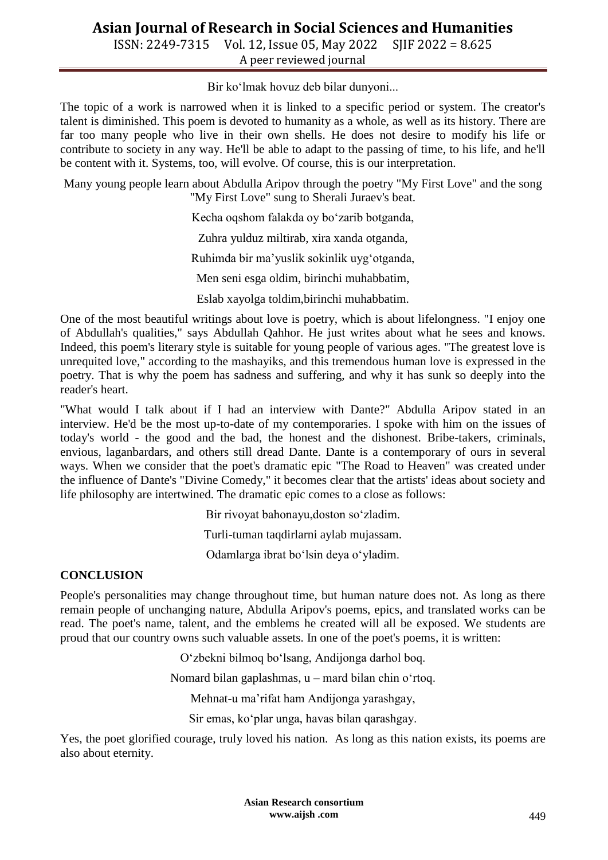ISSN: 2249-7315 Vol. 12, Issue 05, May 2022 SJIF 2022 = 8.625 A peer reviewed journal

Bir ko"lmak hovuz deb bilar dunyoni...

The topic of a work is narrowed when it is linked to a specific period or system. The creator's talent is diminished. This poem is devoted to humanity as a whole, as well as its history. There are far too many people who live in their own shells. He does not desire to modify his life or contribute to society in any way. He'll be able to adapt to the passing of time, to his life, and he'll be content with it. Systems, too, will evolve. Of course, this is our interpretation.

Many young people learn about Abdulla Aripov through the poetry "My First Love" and the song "My First Love" sung to Sherali Juraev's beat.

Kecha oqshom falakda oy bo"zarib botganda,

Zuhra yulduz miltirab, xira xanda otganda,

Ruhimda bir ma"yuslik sokinlik uyg"otganda,

Men seni esga oldim, birinchi muhabbatim,

Eslab xayolga toldim,birinchi muhabbatim.

One of the most beautiful writings about love is poetry, which is about lifelongness. "I enjoy one of Abdullah's qualities," says Abdullah Qahhor. He just writes about what he sees and knows. Indeed, this poem's literary style is suitable for young people of various ages. "The greatest love is unrequited love," according to the mashayiks, and this tremendous human love is expressed in the poetry. That is why the poem has sadness and suffering, and why it has sunk so deeply into the reader's heart.

"What would I talk about if I had an interview with Dante?" Abdulla Aripov stated in an interview. He'd be the most up-to-date of my contemporaries. I spoke with him on the issues of today's world - the good and the bad, the honest and the dishonest. Bribe-takers, criminals, envious, laganbardars, and others still dread Dante. Dante is a contemporary of ours in several ways. When we consider that the poet's dramatic epic "The Road to Heaven" was created under the influence of Dante's "Divine Comedy," it becomes clear that the artists' ideas about society and life philosophy are intertwined. The dramatic epic comes to a close as follows:

Bir rivoyat bahonayu,doston so"zladim.

Turli-tuman taqdirlarni aylab mujassam.

Odamlarga ibrat bo"lsin deya o"yladim.

### **CONCLUSION**

People's personalities may change throughout time, but human nature does not. As long as there remain people of unchanging nature, Abdulla Aripov's poems, epics, and translated works can be read. The poet's name, talent, and the emblems he created will all be exposed. We students are proud that our country owns such valuable assets. In one of the poet's poems, it is written:

O"zbekni bilmoq bo"lsang, Andijonga darhol boq.

Nomard bilan gaplashmas, u – mard bilan chin o"rtoq.

Mehnat-u ma"rifat ham Andijonga yarashgay,

Sir emas, ko"plar unga, havas bilan qarashgay.

Yes, the poet glorified courage, truly loved his nation. As long as this nation exists, its poems are also about eternity.